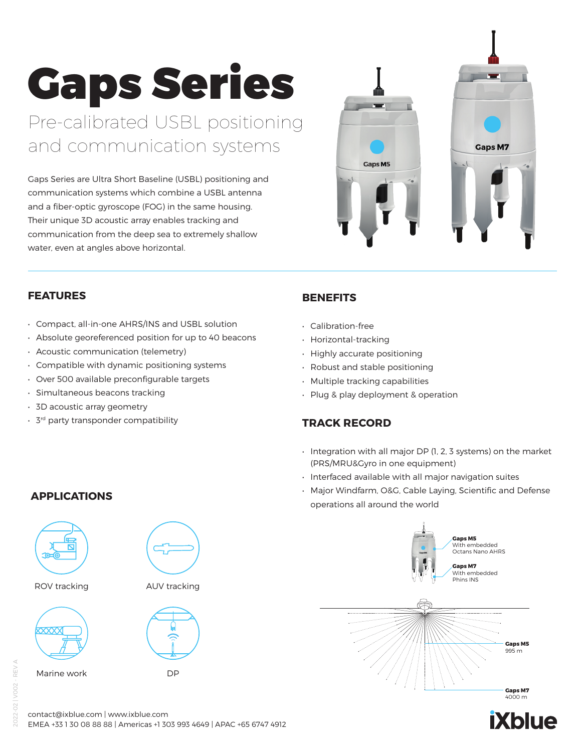# Gaps Series

Pre-calibrated USBL positioning and communication systems

Gaps Series are Ultra Short Baseline (USBL) positioning and communication systems which combine a USBL antenna and a fiber-optic gyroscope (FOG) in the same housing. Their unique 3D acoustic array enables tracking and communication from the deep sea to extremely shallow water, even at angles above horizontal.



#### **FEATURES**

- Compact, all-in-one AHRS/INS and USBL solution
- Absolute georeferenced position for up to 40 beacons
- Acoustic communication (telemetry)
- Compatible with dynamic positioning systems
- Over 500 available preconfigurable targets
- Simultaneous beacons tracking
- 3D acoustic array geometry
- 3rd party transponder compatibility

## **BENEFITS**

- Calibration-free
- Horizontal-tracking
- Highly accurate positioning
- Robust and stable positioning
- Multiple tracking capabilities
- Plug & play deployment & operation

#### **TRACK RECORD**

- Integration with all major DP (1, 2, 3 systems) on the market (PRS/MRU&Gyro in one equipment)
- Interfaced available with all major navigation suites
- Major Windfarm, O&G, Cable Laying, Scientific and Defense operations all around the world



# **iXblue**

### **APPLICATIONS**



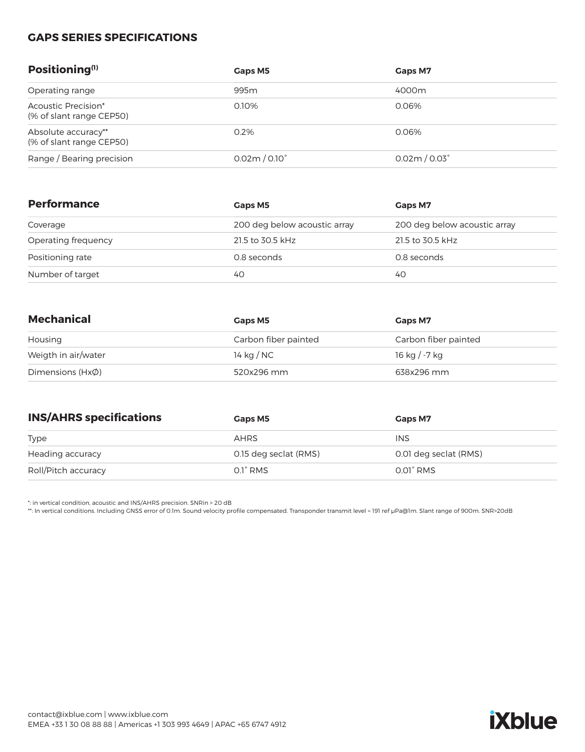#### **GAPS SERIES SPECIFICATIONS**

| Positioning <sup>(1)</sup>                      | Gaps M5              | Gaps M7              |
|-------------------------------------------------|----------------------|----------------------|
| Operating range                                 | 995 <sub>m</sub>     | 4000m                |
| Acoustic Precision*<br>(% of slant range CEP50) | 0.10%                | 0.06%                |
| Absolute accuracy**<br>(% of slant range CEP50) | 0.2%                 | 0.06%                |
| Range / Bearing precision                       | $0.02m/0.10^{\circ}$ | $0.02m/0.03^{\circ}$ |

| <b>Performance</b>  | Gaps M5<br><b>Gaps M7</b><br>200 deg below acoustic array<br>200 deg below acoustic array |                  |  |
|---------------------|-------------------------------------------------------------------------------------------|------------------|--|
| Coverage            |                                                                                           |                  |  |
| Operating frequency | 21.5 to 30.5 kHz                                                                          | 21.5 to 30.5 kHz |  |
| Positioning rate    | 0.8 seconds                                                                               | 0.8 seconds      |  |
| Number of target    | 40                                                                                        | 40               |  |

| <b>Mechanical</b>       | Gaps M5<br><b>Gaps M7</b> |                      |  |
|-------------------------|---------------------------|----------------------|--|
| Housing                 | Carbon fiber painted      | Carbon fiber painted |  |
| Weigth in air/water     | 14 kg / NC                | 16 kg / -7 kg        |  |
| Dimensions ( $Hx\phi$ ) | 520x296 mm                | 638x296 mm           |  |

| <b>INS/AHRS specifications</b><br>Gaps M5 |                       | <b>Gaps M7</b>        |  |
|-------------------------------------------|-----------------------|-----------------------|--|
| <b>Type</b>                               | AHRS                  | <b>INS</b>            |  |
| Heading accuracy                          | 0.15 deg seclat (RMS) | 0.01 deg seclat (RMS) |  |
| Roll/Pitch accuracy                       | $0.1^\circ$ RMS       | $0.01^\circ$ RMS      |  |

\*: in vertical condition, acoustic and INS/AHRS precision. SNRin > 20 dB

\*\*: In vertical conditions. Including GNSS error of 0.1m. Sound velocity profile compensated. Transponder transmit level = 191 ref μPa@1m. Slant range of 900m. SNR>20dB

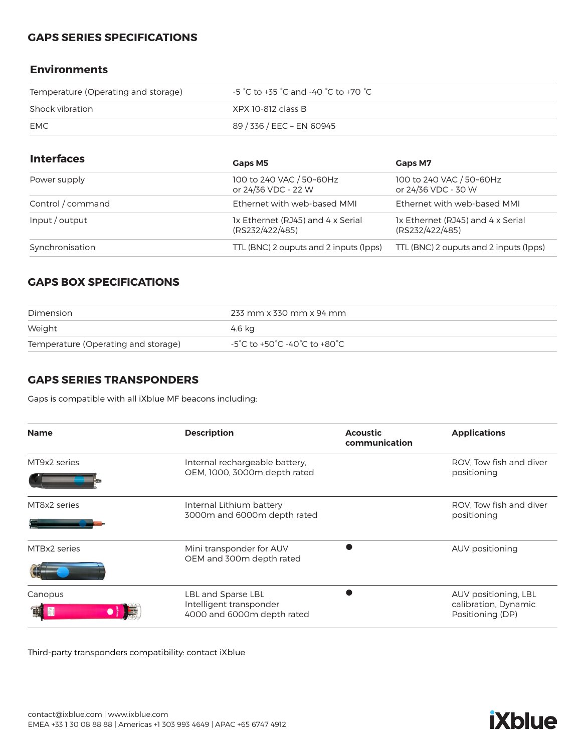#### **GAPS SERIES SPECIFICATIONS**

#### **Environments**

| Temperature (Operating and storage) | $-5\degree$ C to +35 $\degree$ C and -40 $\degree$ C to +70 $\degree$ C $-$ |
|-------------------------------------|-----------------------------------------------------------------------------|
| Shock vibration                     | XPX 10-812 class B                                                          |
| EMC                                 | 89 / 336 / EEC – EN 60945                                                   |

| <b>Interfaces</b> | Gaps M5                                                                                                      | Gaps M7                                         |
|-------------------|--------------------------------------------------------------------------------------------------------------|-------------------------------------------------|
| Power supply      | 100 to 240 VAC / 50~60Hz<br>or 24/36 VDC - 22 W                                                              | 100 to 240 VAC / 50~60Hz<br>or 24/36 VDC - 30 W |
| Control / command | Ethernet with web-based MMI                                                                                  | Ethernet with web-based MMI                     |
| Input/output      | 1x Ethernet (RJ45) and 4 x Serial<br>1x Ethernet (RJ45) and 4 x Serial<br>(RS232/422/485)<br>(RS232/422/485) |                                                 |
| Synchronisation   | TTL (BNC) 2 ouputs and 2 inputs (1pps)                                                                       | TTL (BNC) 2 ouputs and 2 inputs (Ipps)          |

#### **GAPS BOX SPECIFICATIONS**

| Dimension                           | 233 mm x 330 mm x 94 mm      |
|-------------------------------------|------------------------------|
| Weight                              | 4.6 kg                       |
| Temperature (Operating and storage) | -5°C to +50°C -40°C to +80°C |

#### **GAPS SERIES TRANSPONDERS**

Gaps is compatible with all iXblue MF beacons including:

| <b>Name</b>               | <b>Description</b>                                                          | <b>Acoustic</b><br>communication | <b>Applications</b>                                              |
|---------------------------|-----------------------------------------------------------------------------|----------------------------------|------------------------------------------------------------------|
| MT9x2 series              | Internal rechargeable battery,<br>OEM, 1000, 3000m depth rated              |                                  | ROV. Tow fish and diver<br>positioning                           |
| MT8x2 series              | Internal Lithium battery<br>3000m and 6000m depth rated                     |                                  | ROV. Tow fish and diver<br>positioning                           |
| MTBx2 series              | Mini transponder for AUV<br>OEM and 300m depth rated                        |                                  | AUV positioning                                                  |
| Canopus<br>$\mathbb{Z}$ d | LBL and Sparse LBL<br>Intelligent transponder<br>4000 and 6000m depth rated |                                  | AUV positioning, LBL<br>calibration, Dynamic<br>Positioning (DP) |

Third-party transponders compatibility: contact iXblue